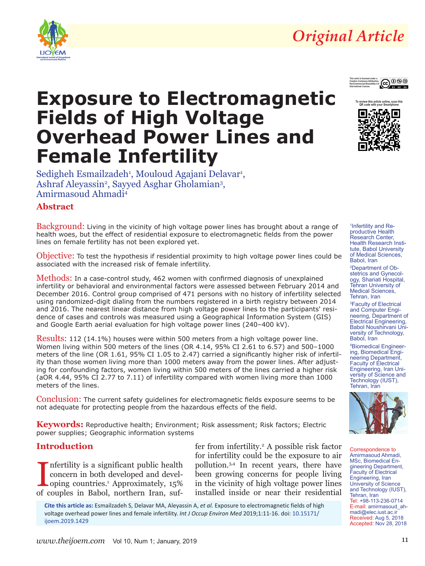

# *Original Article*



# **Exposure to Electromagnetic Fields of High Voltage Overhead Power Lines and Female Infertility**

Sedigheh Esmailzadeh<sup>1</sup>, Mouloud Agajani Delavar<sup>1</sup>, Ashraf Aleyassin<sup>2</sup>, Sayyed Asghar Gholamian<sup>3</sup>, Amirmasoud Ahmadi4

# **Abstract**

Background: Living in the vicinity of high voltage power lines has brought about a range of health woes, but the effect of residential exposure to electromagnetic fields from the power lines on female fertility has not been explored yet.

Objective: To test the hypothesis if residential proximity to high voltage power lines could be associated with the increased risk of female infertility.

Methods: In a case-control study, 462 women with confirmed diagnosis of unexplained infertility or behavioral and environmental factors were assessed between February 2014 and December 2016. Control group comprised of 471 persons with no history of infertility selected using randomized-digit dialing from the numbers registered in a birth registry between 2014 and 2016. The nearest linear distance from high voltage power lines to the participants' residence of cases and controls was measured using a Geographical Information System (GIS) and Google Earth aerial evaluation for high voltage power lines (240–400 kV).

Results: 112 (14.1%) houses were within 500 meters from a high voltage power line. Women living within 500 meters of the lines (OR 4.14, 95% CI 2.61 to 6.57) and 500–1000 meters of the line (OR 1.61, 95% CI 1.05 to 2.47) carried a significantly higher risk of infertility than those women living more than 1000 meters away from the power lines. After adjusting for confounding factors, women living within 500 meters of the lines carried a higher risk (aOR 4.44, 95% CI 2.77 to 7.11) of infertility compared with women living more than 1000 meters of the lines.

Conclusion: The current safety guidelines for electromagnetic fields exposure seems to be not adequate for protecting people from the hazardous effects of the field.

**Keywords:** Reproductive health; Environment; Risk assessment; Risk factors; Electric power supplies; Geographic information systems

## **Introduction**

Infertility is a significant public health<br>concern in both developed and devel-<br>oping countries.<sup>1</sup> Approximately, 15%<br>of couples in Babol, northern Iran, sufnfertility is a significant public health concern in both developed and developing countries.1 Approximately, 15%

fer from infertility.<sup>2</sup> A possible risk factor for infertility could be the exposure to air pollution.3,4 In recent years, there have been growing concerns for people living in the vicinity of high voltage power lines installed inside or near their residential

**Cite this article as:** Esmailzadeh S, Delavar MA, Aleyassin A, *et al.* Exposure to electromagnetic fields of high voltage overhead power lines and female infertility. *Int J Occup Environ Med* 2019;1:11-16. doi: [10.15171/](http://doi.org/10.15171/ijoem.2019.1429) [ijoem.2019.1429](http://doi.org/10.15171/ijoem.2019.1429)



1 Infertility and Reproductive Health Research Center, Health Research Institute, Babol University of Medical Sciences, Babol, Iran

2 Department of Obstetrics and Gynecology, Shariati Hospital, Tehran University of Medical Sciences. Tehran, Iran

3 Faculty of Electrical and Computer Engineering, Department of Electrical Engineering, Babol Noushirvani University of Technology, Babol, Iran

4 Biomedical Engineering, Biomedical Engineering Department, Faculty of Electrical Engineering, Iran University of Science and Technology (IUST), Tehran, Iran



Correspondence to Amirmasoud Ahmadi, MSc, Biomedical Engineering Department, Faculty of Electrical Engineering, Iran University of Science and Technology (IUST), Tehran, Iran Tel: +98-113-236-0714 E-mail: amirmasoud\_ahmadi@elec.iust.ac.ir Received: Aug 5, 2018 Accepted: Nov 28, 2018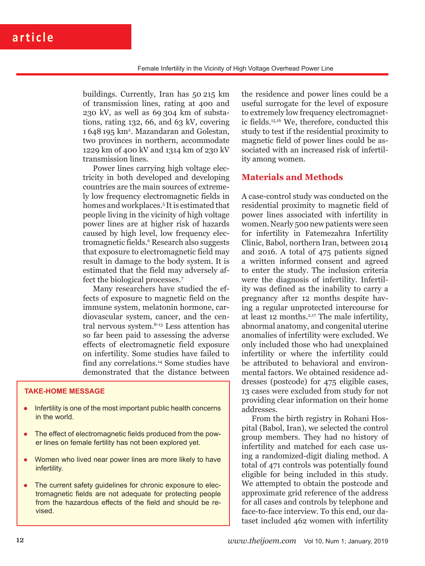buildings. Currently, Iran has 50 215 km of transmission lines, rating at 400 and 230 kV, as well as 69 304 km of substations, rating 132, 66, and 63 kV, covering 1 648 195 km2 . Mazandaran and Golestan, two provinces in northern, accommodate 1229 km of 400 kV and 1314 km of 230 kV transmission lines.

Power lines carrying high voltage electricity in both developed and developing countries are the main sources of extremely low frequency electromagnetic fields in homes and workplaces.<sup>5</sup> It is estimated that people living in the vicinity of high voltage power lines are at higher risk of hazards caused by high level, low frequency electromagnetic fields.6 Research also suggests that exposure to electromagnetic field may result in damage to the body system. It is estimated that the field may adversely affect the biological processes.7

Many researchers have studied the effects of exposure to magnetic field on the immune system, melatonin hormone, cardiovascular system, cancer, and the central nervous system.8-13 Less attention has so far been paid to assessing the adverse effects of electromagnetic field exposure on infertility. Some studies have failed to find any correlations.14 Some studies have demonstrated that the distance between

#### **TAKE-HOME MESSAGE**

- Infertility is one of the most important public health concerns in the world.
- The effect of electromagnetic fields produced from the power lines on female fertility has not been explored yet.
- Women who lived near power lines are more likely to have infertility.
- The current safety guidelines for chronic exposure to electromagnetic fields are not adequate for protecting people from the hazardous effects of the field and should be revised.

the residence and power lines could be a useful surrogate for the level of exposure to extremely low frequency electromagnetic fields.15,16 We, therefore, conducted this study to test if the residential proximity to magnetic field of power lines could be associated with an increased risk of infertility among women.

### **Materials and Methods**

A case-control study was conducted on the residential proximity to magnetic field of power lines associated with infertility in women. Nearly 500 new patients were seen for infertility in Fatemezahra Infertility Clinic, Babol, northern Iran, between 2014 and 2016. A total of 475 patients signed a written informed consent and agreed to enter the study. The inclusion criteria were the diagnosis of infertility. Infertility was defined as the inability to carry a pregnancy after 12 months despite having a regular unprotected intercourse for at least 12 months.2,17 The male infertility, abnormal anatomy, and congenital uterine anomalies of infertility were excluded. We only included those who had unexplained infertility or where the infertility could be attributed to behavioral and environmental factors. We obtained residence addresses (postcode) for 475 eligible cases, 13 cases were excluded from study for not providing clear information on their home addresses.

From the birth registry in Rohani Hospital (Babol, Iran), we selected the control group members. They had no history of infertility and matched for each case using a randomized-digit dialing method. A total of 471 controls was potentially found eligible for being included in this study. We attempted to obtain the postcode and approximate grid reference of the address for all cases and controls by telephone and face-to-face interview. To this end, our dataset included 462 women with infertility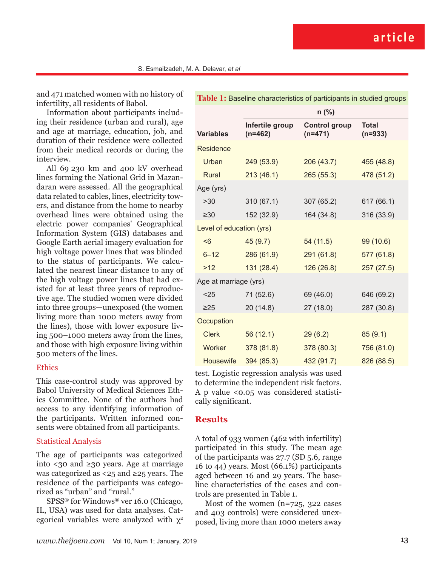and 471 matched women with no history of infertility, all residents of Babol.

Information about participants including their residence (urban and rural), age and age at marriage, education, job, and duration of their residence were collected from their medical records or during the interview.

All 69 230 km and 400 kV overhead lines forming the National Grid in Mazandaran were assessed. All the geographical data related to cables, lines, electricity towers, and distance from the home to nearby overhead lines were obtained using the electric power companies' Geographical Information System (GIS) databases and Google Earth aerial imagery evaluation for high voltage power lines that was blinded to the status of participants. We calculated the nearest linear distance to any of the high voltage power lines that had existed for at least three years of reproductive age. The studied women were divided into three groups—unexposed (the women living more than 1000 meters away from the lines), those with lower exposure living 500–1000 meters away from the lines, and those with high exposure living within 500 meters of the lines.

#### **Ethics**

This case-control study was approved by Babol University of Medical Sciences Ethics Committee. None of the authors had access to any identifying information of the participants. Written informed consents were obtained from all participants.

#### Statistical Analysis

The age of participants was categorized into <30 and ≥30 years. Age at marriage was categorized as <25 and ≥25 years. The residence of the participants was categorized as "urban" and "rural."

SPSS® for Windows® ver 16.0 (Chicago, IL, USA) was used for data analyses. Categorical variables were analyzed with  $\chi^2$ 

| Table 1: Baseline characteristics of participants in studied groups |                              |                            |                           |  |  |  |
|---------------------------------------------------------------------|------------------------------|----------------------------|---------------------------|--|--|--|
|                                                                     | $n$ (%)                      |                            |                           |  |  |  |
| <b>Variables</b>                                                    | Infertile group<br>$(n=462)$ | Control group<br>$(n=471)$ | <b>Total</b><br>$(n=933)$ |  |  |  |
| Residence                                                           |                              |                            |                           |  |  |  |
| Urban                                                               | 249 (53.9)                   | 206(43.7)                  | 455 (48.8)                |  |  |  |
| Rural                                                               | 213(46.1)                    | 265(55.3)                  | 478 (51.2)                |  |  |  |
| Age (yrs)                                                           |                              |                            |                           |  |  |  |
| >30                                                                 | 310(67.1)                    | 307 (65.2)                 | 617 (66.1)                |  |  |  |
| $\geq 30$                                                           | 152 (32.9)                   | 164 (34.8)                 | 316 (33.9)                |  |  |  |
| Level of education (yrs)                                            |                              |                            |                           |  |  |  |
| < 6                                                                 | 45(9.7)                      | 54 (11.5)                  | 99 (10.6)                 |  |  |  |
| $6 - 12$                                                            | 286 (61.9)                   | 291 (61.8)                 | 577 (61.8)                |  |  |  |
| $>12$                                                               | 131 (28.4)                   | 126 (26.8)                 | 257(27.5)                 |  |  |  |
| Age at marriage (yrs)                                               |                              |                            |                           |  |  |  |
| $25$                                                                | 71 (52.6)                    | 69 (46.0)                  | 646 (69.2)                |  |  |  |
| $\geq$ 25                                                           | 20(14.8)                     | 27(18.0)                   | 287 (30.8)                |  |  |  |
| Occupation                                                          |                              |                            |                           |  |  |  |
| <b>Clerk</b>                                                        | 56(12.1)                     | 29(6.2)                    | 85(9.1)                   |  |  |  |
| Worker                                                              | 378 (81.8)                   | 378 (80.3)                 | 756 (81.0)                |  |  |  |
| <b>Housewife</b>                                                    | 394 (85.3)                   | 432 (91.7)                 | 826 (88.5)                |  |  |  |

test. Logistic regression analysis was used to determine the independent risk factors. A p value <0.05 was considered statistically significant.

#### **Results**

A total of 933 women (462 with infertility) participated in this study. The mean age of the participants was 27.7 (SD 5.6, range 16 to 44) years. Most (66.1%) participants aged between 16 and 29 years. The baseline characteristics of the cases and controls are presented in Table 1.

Most of the women (n=725, 322 cases and 403 controls) were considered unexposed, living more than 1000 meters away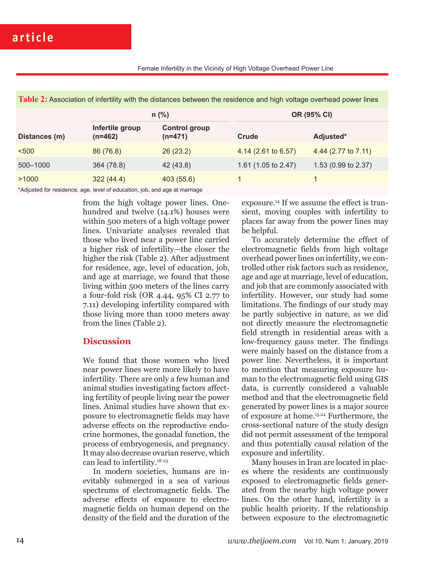| Table 2: Association of infertility with the distances between the residence and high voltage overhead power lines |
|--------------------------------------------------------------------------------------------------------------------|
|--------------------------------------------------------------------------------------------------------------------|

|               | $n$ (%)                      |                                   | OR (95% CI)         |                     |  |
|---------------|------------------------------|-----------------------------------|---------------------|---------------------|--|
| Distances (m) | Infertile group<br>$(n=462)$ | <b>Control group</b><br>$(n=471)$ | Crude               | Adjusted*           |  |
| < 500         | 86 (76.8)                    | 26(23.2)                          | 4.14 (2.61 to 6.57) | 4.44 (2.77 to 7.11) |  |
| 500-1000      | 364 (78.8)                   | 42 (43.8)                         | 1.61 (1.05 to 2.47) | 1.53 (0.99 to 2.37) |  |
| >1000         | 322(44.4)                    | 403 (55.6)                        |                     |                     |  |
|               |                              |                                   |                     |                     |  |

\*Adjusted for residence, age, level of education, job, and age at marriage

from the high voltage power lines. Onehundred and twelve (14.1%) houses were within 500 meters of a high voltage power lines. Univariate analyses revealed that those who lived near a power line carried a higher risk of infertility—the closer the higher the risk (Table 2). After adjustment for residence, age, level of education, job, and age at marriage, we found that those living within 500 meters of the lines carry a four-fold risk (OR 4.44, 95% CI 2.77 to 7.11) developing infertility compared with those living more than 1000 meters away from the lines (Table 2).

### **Discussion**

We found that those women who lived near power lines were more likely to have infertility. There are only a few human and animal studies investigating factors affecting fertility of people living near the power lines. Animal studies have shown that exposure to electromagnetic fields may have adverse effects on the reproductive endocrine hormones, the gonadal function, the process of embryogenesis, and pregnancy. It may also decrease ovarian reserve, which can lead to infertility.18-23

In modern societies, humans are inevitably submerged in a sea of various spectrums of electromagnetic fields. The adverse effects of exposure to electromagnetic fields on human depend on the density of the field and the duration of the

exposure.14 If we assume the effect is transient, moving couples with infertility to places far away from the power lines may be helpful.

To accurately determine the effect of electromagnetic fields from high voltage overhead power lines on infertility, we controlled other risk factors such as residence, age and age at marriage, level of education, and job that are commonly associated with infertility. However, our study had some limitations. The findings of our study may be partly subjective in nature, as we did not directly measure the electromagnetic field strength in residential areas with a low-frequency gauss meter. The findings were mainly based on the distance from a power line. Nevertheless, it is important to mention that measuring exposure human to the electromagnetic field using GIS data, is currently considered a valuable method and that the electromagnetic field generated by power lines is a major source of exposure at home.15,24 Furthermore, the cross-sectional nature of the study design did not permit assessment of the temporal and thus potentially causal relation of the exposure and infertility.

Many houses in Iran are located in places where the residents are continuously exposed to electromagnetic fields generated from the nearby high voltage power lines. On the other hand, infertility is a public health priority. If the relationship between exposure to the electromagnetic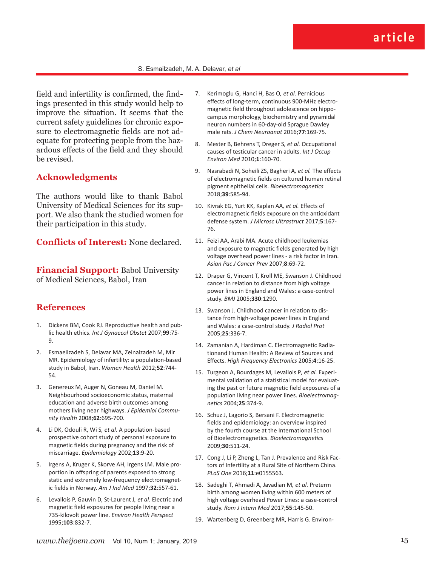field and infertility is confirmed, the findings presented in this study would help to improve the situation. It seems that the current safety guidelines for chronic exposure to electromagnetic fields are not adequate for protecting people from the hazardous effects of the field and they should be revised.

#### **Acknowledgments**

The authors would like to thank Babol University of Medical Sciences for its support. We also thank the studied women for their participation in this study.

**Conflicts of Interest:** None declared.

**Financial Support: Babol University** of Medical Sciences, Babol, Iran

### **References**

- 1. Dickens BM, Cook RJ. Reproductive health and public health ethics. *Int J Gynaecol Obstet* 2007;**99**:75- 9.
- 2. Esmaeilzadeh S, Delavar MA, Zeinalzadeh M, Mir MR. Epidemiology of infertility: a population-based study in Babol, Iran. *Women Health* 2012;**52**:744- 54.
- 3. Genereux M, Auger N, Goneau M, Daniel M. Neighbourhood socioeconomic status, maternal education and adverse birth outcomes among mothers living near highways. *J Epidemiol Community Health* 2008;**62**:695-700.
- 4. Li DK, Odouli R, Wi S*, et al.* A population-based prospective cohort study of personal exposure to magnetic fields during pregnancy and the risk of miscarriage. *Epidemiology* 2002;**13**:9-20.
- 5. Irgens A, Kruger K, Skorve AH, Irgens LM. Male proportion in offspring of parents exposed to strong static and extremely low-frequency electromagnetic fields in Norway. *Am J Ind Med* 1997;**32**:557-61.
- 6. Levallois P, Gauvin D, St-Laurent J*, et al.* Electric and magnetic field exposures for people living near a 735-kilovolt power line. *Environ Health Perspect* 1995;**103**:832-7.
- 7. Kerimoglu G, Hanci H, Bas O*, et al.* Pernicious effects of long-term, continuous 900-MHz electromagnetic field throughout adolescence on hippocampus morphology, biochemistry and pyramidal neuron numbers in 60-day-old Sprague Dawley male rats. *J Chem Neuroanat* 2016;**77**:169-75.
- 8. Mester B, Behrens T, Dreger S*, et al.* Occupational causes of testicular cancer in adults. *Int J Occup Environ Med* 2010;**1**:160-70.
- 9. Nasrabadi N, Soheili ZS, Bagheri A*, et al.* The effects of electromagnetic fields on cultured human retinal pigment epithelial cells. *Bioelectromagnetics* 2018;**39**:585-94.
- 10. Kivrak EG, Yurt KK, Kaplan AA*, et al.* Effects of electromagnetic fields exposure on the antioxidant defense system. *J Microsc Ultrastruct* 2017;**5**:167- 76.
- 11. Feizi AA, Arabi MA. Acute childhood leukemias and exposure to magnetic fields generated by high voltage overhead power lines - a risk factor in Iran. *Asian Pac J Cancer Prev* 2007;**8**:69-72.
- 12. Draper G, Vincent T, Kroll ME, Swanson J. Childhood cancer in relation to distance from high voltage power lines in England and Wales: a case-control study. *BMJ* 2005;**330**:1290.
- 13. Swanson J. Childhood cancer in relation to distance from high-voltage power lines in England and Wales: a case-control study. *J Radiol Prot* 2005;**25**:336-7.
- 14. Zamanian A, Hardiman C. Electromagnetic Radiationand Human Health: A Review of Sources and Effects. *High Frequency Electronics* 2005;**4**:16-25.
- 15. Turgeon A, Bourdages M, Levallois P*, et al.* Experimental validation of a statistical model for evaluating the past or future magnetic field exposures of a population living near power lines. *Bioelectromagnetics* 2004;**25**:374-9.
- 16. Schuz J, Lagorio S, Bersani F. Electromagnetic fields and epidemiology: an overview inspired by the fourth course at the International School of Bioelectromagnetics. *Bioelectromagnetics* 2009;**30**:511-24.
- 17. Cong J, Li P, Zheng L, Tan J. Prevalence and Risk Factors of Infertility at a Rural Site of Northern China. *PLoS One* 2016;**11**:e0155563.
- 18. Sadeghi T, Ahmadi A, Javadian M*, et al.* Preterm birth among women living within 600 meters of high voltage overhead Power Lines: a case-control study. *Rom J Intern Med* 2017;**55**:145-50.
- 19. Wartenberg D, Greenberg MR, Harris G. Environ-